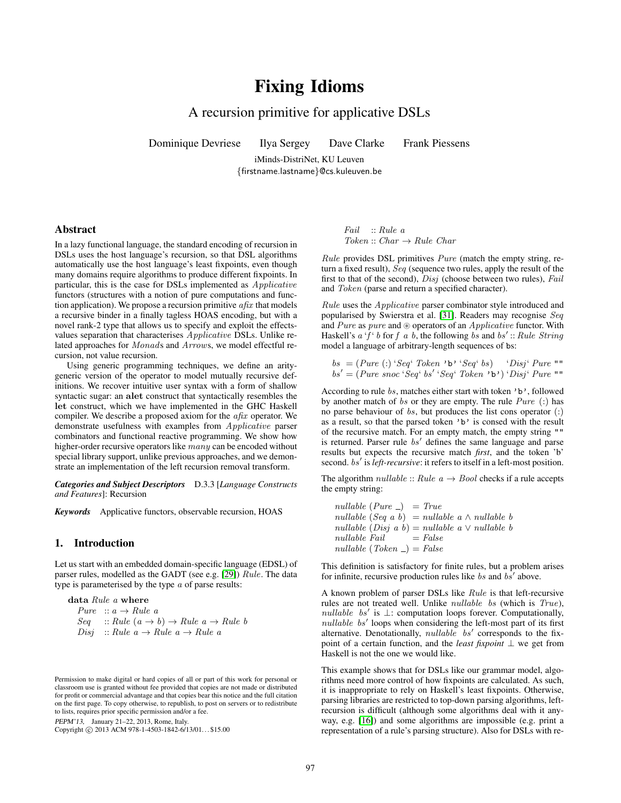# Fixing Idioms

# A recursion primitive for applicative DSLs

Dominique Devriese Ilya Sergey Dave Clarke Frank Piessens

iMinds-DistriNet, KU Leuven {firstname.lastname}@cs.kuleuven.be

#### Abstract

In a lazy functional language, the standard encoding of recursion in DSLs uses the host language's recursion, so that DSL algorithms automatically use the host language's least fixpoints, even though many domains require algorithms to produce different fixpoints. In particular, this is the case for DSLs implemented as Applicative functors (structures with a notion of pure computations and function application). We propose a recursion primitive  $a\hat{h}x$  that models a recursive binder in a finally tagless HOAS encoding, but with a novel rank-2 type that allows us to specify and exploit the effectsvalues separation that characterises Applicative DSLs. Unlike related approaches for Monads and Arrows, we model effectful recursion, not value recursion.

Using generic programming techniques, we define an aritygeneric version of the operator to model mutually recursive definitions. We recover intuitive user syntax with a form of shallow syntactic sugar: an alet construct that syntactically resembles the let construct, which we have implemented in the GHC Haskell compiler. We describe a proposed axiom for the afix operator. We demonstrate usefulness with examples from Applicative parser combinators and functional reactive programming. We show how higher-order recursive operators like many can be encoded without special library support, unlike previous approaches, and we demonstrate an implementation of the left recursion removal transform.

*Categories and Subject Descriptors* D.3.3 [*Language Constructs and Features*]: Recursion

*Keywords* Applicative functors, observable recursion, HOAS

## 1. Introduction

Let us start with an embedded domain-specific language (EDSL) of parser rules, modelled as the GADT (see e.g. [\[29\]](#page-9-0)) Rule. The data type is parameterised by the type  $a$  of parse results:

**data** Rule *a* where  
\n
$$
Pure :: a \rightarrow Rule a
$$
\n
$$
Seq :: Rule (a \rightarrow b) \rightarrow Rule a \rightarrow Rule b
$$
\n
$$
Disj :: Rule a \rightarrow Rule a \rightarrow Rule a
$$

PEPM'13, January 21–22, 2013, Rome, Italy.

Copyright © 2013 ACM 978-1-4503-1842-6/13/01... \$15.00

Fail :: Rule a  $Token :: Char \rightarrow Rule$  Char

Rule provides DSL primitives Pure (match the empty string, return a fixed result), Seq (sequence two rules, apply the result of the first to that of the second),  $Disj$  (choose between two rules), Fail and Token (parse and return a specified character).

Rule uses the Applicative parser combinator style introduced and popularised by Swierstra et al. [\[31\]](#page-9-1). Readers may recognise Seq and Pure as pure and  $\circledast$  operators of an *Applicative* functor. With Haskell's  $a' \hat{f}' b$  for f a b, the following bs and bs': Rule String model a language of arbitrary-length sequences of bs:

$$
bs = (Pure(:) 'Seq' Token 'b' 'Seq' bs') 'Disj' Pure ""
$$
  

$$
bs' = (Pure snoc 'Seq' bs' 'Seq' Token 'b') 'Disj' Pure ""
$$

According to rule bs, matches either start with token 'b', followed by another match of bs or they are empty. The rule  $Pure$  (:) has no parse behaviour of  $bs$ , but produces the list cons operator  $(:)$ as a result, so that the parsed token 'b' is consed with the result of the recursive match. For an empty match, the empty string "" is returned. Parser rule  $bs'$  defines the same language and parse results but expects the recursive match *first*, and the token 'b' second. bs' is *left-recursive*: it refers to itself in a left-most position.

The algorithm *nullable* :: *Rule*  $a \rightarrow Bool$  checks if a rule accepts the empty string:

nullable  $(Pure_+)$  = True nullable (Seq a b) = nullable a  $\land$  nullable b nullable  $(Disj \ a \ b) = nullable \ a \vee nullable \ b$  $nullable$   $Fall = False$ nullable (Token  $)$  = False

This definition is satisfactory for finite rules, but a problem arises for infinite, recursive production rules like bs and  $b\overline{s}'$  above.

A known problem of parser DSLs like Rule is that left-recursive rules are not treated well. Unlike nullable bs (which is True), nullable bs' is  $\perp$ : computation loops forever. Computationally,  $nullable$   $bs'$  loops when considering the left-most part of its first alternative. Denotationally,  $nullable$   $bs'$  corresponds to the fixpoint of a certain function, and the *least fixpoint* ⊥ we get from Haskell is not the one we would like.

This example shows that for DSLs like our grammar model, algorithms need more control of how fixpoints are calculated. As such, it is inappropriate to rely on Haskell's least fixpoints. Otherwise, parsing libraries are restricted to top-down parsing algorithms, leftrecursion is difficult (although some algorithms deal with it anyway, e.g. [\[16\]](#page-9-2)) and some algorithms are impossible (e.g. print a representation of a rule's parsing structure). Also for DSLs with re-

Permission to make digital or hard copies of all or part of this work for personal or classroom use is granted without fee provided that copies are not made or distributed for profit or commercial advantage and that copies bear this notice and the full citation on the first page. To copy otherwise, to republish, to post on servers or to redistribute to lists, requires prior specific permission and/or a fee.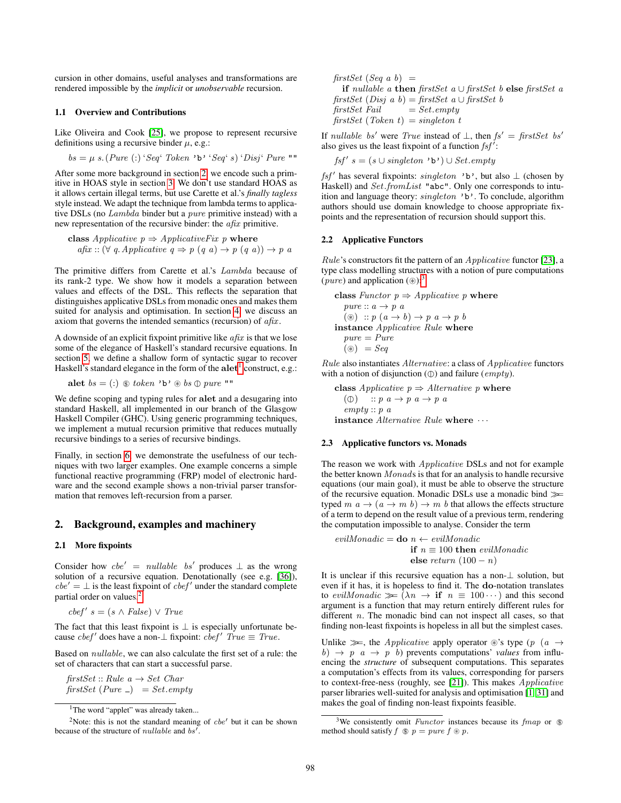cursion in other domains, useful analyses and transformations are rendered impossible by the *implicit* or *unobservable* recursion.

#### 1.1 Overview and Contributions

Like Oliveira and Cook [\[25\]](#page-9-3), we propose to represent recursive definitions using a recursive binder  $\mu$ , e.g.:

$$
bs = \mu s. (Pure (:) 'Seq' Token 'b' 'Seq' s) 'Disj' Pure ""
$$

After some more background in section [2,](#page-1-0) we encode such a primitive in HOAS style in section [3.](#page-2-0) We don't use standard HOAS as it allows certain illegal terms, but use Carette et al.'s *finally tagless* style instead. We adapt the technique from lambda terms to applicative DSLs (no Lambda binder but a pure primitive instead) with a new representation of the recursive binder: the afix primitive.

**class** *Applicative* 
$$
p \Rightarrow
$$
 *ApplicativeFix*  $p$  **where**  
*afix* :: ( $\forall$   $q$ . *Applicative*  $q \Rightarrow p$  ( $q$   $a$ )  $\rightarrow p$  ( $q$   $a$ ))  $\rightarrow p$   $a$ 

The primitive differs from Carette et al.'s Lambda because of its rank-2 type. We show how it models a separation between values and effects of the DSL. This reflects the separation that distinguishes applicative DSLs from monadic ones and makes them suited for analysis and optimisation. In section [4,](#page-4-0) we discuss an axiom that governs the intended semantics (recursion) of  $a\hat{h}x$ .

A downside of an explicit fixpoint primitive like  $afix$  is that we lose some of the elegance of Haskell's standard recursive equations. In section [5,](#page-4-1) we define a shallow form of syntactic sugar to recover Haskell's standard elegance in the form of the  $\text{alet}^1$  $\text{alet}^1$  construct, e.g.:

$$
\mathbf{alet}\;bs = (\mathbf{:})\;\circledast\;token\; \text{'}b\text{'}\circledast bs\; \mathbb{O}\;pure\; \text{''''}
$$

We define scoping and typing rules for alet and a desugaring into standard Haskell, all implemented in our branch of the Glasgow Haskell Compiler (GHC). Using generic programming techniques, we implement a mutual recursion primitive that reduces mutually recursive bindings to a series of recursive bindings.

Finally, in section [6,](#page-6-0) we demonstrate the usefulness of our techniques with two larger examples. One example concerns a simple functional reactive programming (FRP) model of electronic hardware and the second example shows a non-trivial parser transformation that removes left-recursion from a parser.

## <span id="page-1-0"></span>2. Background, examples and machinery

#### 2.1 More fixpoints

Consider how  $cbe' = nullable$  bs' produces  $\perp$  as the wrong solution of a recursive equation. Denotationally (see e.g. [\[36\]](#page-9-4)),  $cbe' = \perp$  is the least fixpoint of  $cbef'$  under the standard complete partial order on values.<sup>[2](#page-1-2)</sup>

$$
c\mathit{bef}'\ s = (s \land \mathit{False}) \lor \mathit{True}
$$

The fact that this least fixpoint is  $\perp$  is especially unfortunate because  $cbef'$  does have a non- $\perp$  fixpoint:  $cbef'$  True  $\equiv$  True.

Based on nullable, we can also calculate the first set of a rule: the set of characters that can start a successful parse.

firstSet :: Rule  $a \rightarrow Set$  Char firstSet (Pure  $)$  = Set.empty  $firstSet$  (Seq a b) = if nullable a then firstSet a ∪ firstSet b else firstSet a firstSet (Disj a b) = firstSet a ∪ firstSet b  $firstSet$  Fail  $= Set.empty$ firstSet (Token t) = singleton t

If *nullable bs'* were *True* instead of  $\bot$ , then  $fs' = firstSet$  bs' also gives us the least fixpoint of a function  $fsf'$ :

$$
fsf's = (s \cup singleton \rightarrow b') \cup Set.empty
$$

 $fsf'$  has several fixpoints: *singleton* 'b', but also  $\perp$  (chosen by Haskell) and Set.fromList "abc". Only one corresponds to intuition and language theory: singleton 'b'. To conclude, algorithm authors should use domain knowledge to choose appropriate fixpoints and the representation of recursion should support this.

#### 2.2 Applicative Functors

Rule's constructors fit the pattern of an Applicative functor [\[23\]](#page-9-5), a type class modelling structures with a notion of pure computations (*pure*) and application  $(\circledast)^3$  $(\circledast)^3$ 

class Functor  $p \Rightarrow Application$  p where  $pure :: a \rightarrow p \ a$ ( $\circledast)$  ::  $p(a \rightarrow b) \rightarrow p(a \rightarrow p b)$ instance Applicative Rule where  $pure = Pure$  $(\circledast) = Seq$ 

Rule also instantiates Alternative: a class of Applicative functors with a notion of disjunction  $(\mathbb{O})$  and failure (empty).

class Applicative  $p \Rightarrow$  Alternative p where ( $\circled{r}$ ) :: p  $a \rightarrow p$  a  $\rightarrow p$  a  $empty::p a$ instance Alternative Rule where  $\cdots$ 

#### 2.3 Applicative functors vs. Monads

The reason we work with Applicative DSLs and not for example the better known Monads is that for an analysis to handle recursive equations (our main goal), it must be able to observe the structure of the recursive equation. Monadic DSLs use a monadic bind  $\gg$ typed  $m \, a \rightarrow (a \rightarrow m \, b) \rightarrow m \, b$  that allows the effects structure of a term to depend on the result value of a previous term, rendering the computation impossible to analyse. Consider the term

$$
evilMonadic = \mathbf{do} \ n \leftarrow evilMonadic
$$
  
if  $n \equiv 100$  then  $evilMonadic$   
else return  $(100 - n)$ 

It is unclear if this recursive equation has a non-⊥ solution, but even if it has, it is hopeless to find it. The do-notation translates to evilMonadic  $\gg \bar{(\lambda n \rightarrow \text{if } n \equiv 100 \cdots)$  and this second argument is a function that may return entirely different rules for different *n*. The monadic bind can not inspect all cases, so that finding non-least fixpoints is hopeless in all but the simplest cases.

Unlike  $\gg$ , the *Applicative* apply operator  $\circledast$ 's type (p (a  $\rightarrow$  $b) \rightarrow p \quad a \rightarrow p \quad b)$  prevents computations' *values* from influencing the *structure* of subsequent computations. This separates a computation's effects from its values, corresponding for parsers to context-free-ness (roughly, see [\[21\]](#page-9-6)). This makes Applicative parser libraries well-suited for analysis and optimisation [\[1,](#page-9-7) [31\]](#page-9-1) and makes the goal of finding non-least fixpoints feasible.

<span id="page-1-2"></span><span id="page-1-1"></span><sup>&</sup>lt;sup>1</sup>The word "applet" was already taken...

<sup>&</sup>lt;sup>2</sup>Note: this is not the standard meaning of  $cbe'$  but it can be shown because of the structure of *nullable* and  $bs'$ .

<span id="page-1-3"></span><sup>&</sup>lt;sup>3</sup>We consistently omit *Functor* instances because its *fmap* or  $\circledast$ method should satisfy  $f \circledast p = pure f \circledast p$ .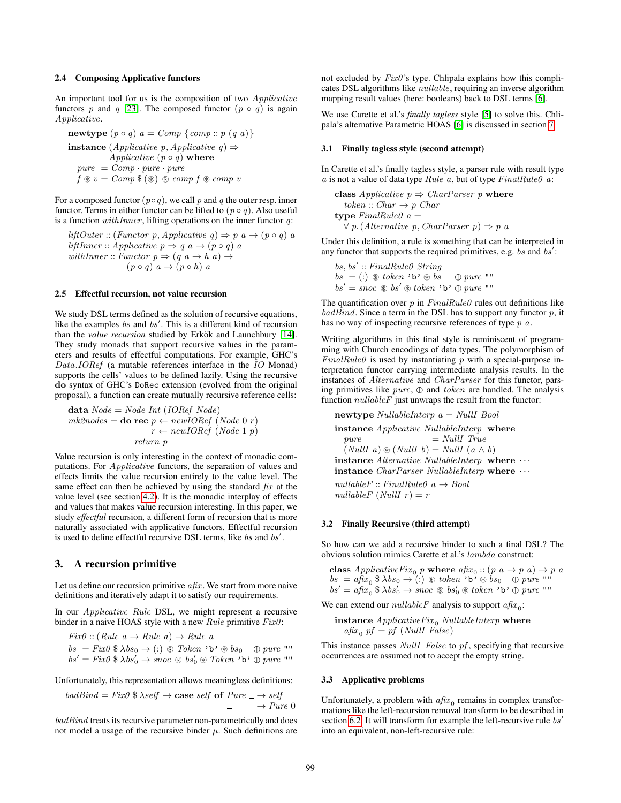#### 2.4 Composing Applicative functors

An important tool for us is the composition of two Applicative functors p and q [\[23\]](#page-9-5). The composed functor  $(p \circ q)$  is again Applicative.

$$
\begin{array}{l} \textbf{newtype } (p \circ q) \ a = Comp \ \{comp::p (q a) \} \\ \textbf{instance } (Applicative \ p, Applicative \ q) \Rightarrow \\ \textbf{Applicative } (p \circ q) \textbf{ where} \\ pure = Comp \cdot pure \cdot pure \\ f \circledast v = Comp \circledast (\circledast) \circledast comp \ f \circledast comp \ v \end{array}
$$

For a composed functor  $(p \circ q)$ , we call p and q the outer resp. inner functor. Terms in either functor can be lifted to  $(p \circ q)$ . Also useful is a function  $withinner$ , lifting operations on the inner functor  $q$ :

liftOuter :: (Functor p, Applicative q)  $\Rightarrow$  p a  $\rightarrow$  (p  $\circ$  q) a liftInner :: Applicative  $p \Rightarrow q$   $a \rightarrow (p \circ q)$  a withInner :: Functor  $p \Rightarrow (q \ a \rightarrow h \ a) \rightarrow$  $(p \circ q)$   $a \to (p \circ h)$  a

#### 2.5 Effectful recursion, not value recursion

We study DSL terms defined as the solution of recursive equations, like the examples bs and  $bs'$ . This is a different kind of recursion than the *value recursion* studied by Erkök and Launchbury [\[14\]](#page-9-8). They study monads that support recursive values in the parameters and results of effectful computations. For example, GHC's Data.IORef (a mutable references interface in the IO Monad) supports the cells' values to be defined lazily. Using the recursive do syntax of GHC's DoRec extension (evolved from the original proposal), a function can create mutually recursive reference cells:

**data** Node = Node Int (IORef Node)  

$$
mk2nodes =
$$
**do rec**  $p \leftarrow newIORef (Node 0 r)$   
 $r \leftarrow newIORef (Node 1 p)$   
 $return p$ 

Value recursion is only interesting in the context of monadic computations. For Applicative functors, the separation of values and effects limits the value recursion entirely to the value level. The same effect can then be achieved by using the standard  $fix$  at the value level (see section [4.2\)](#page-4-2). It is the monadic interplay of effects and values that makes value recursion interesting. In this paper, we study *effectful* recursion, a different form of recursion that is more naturally associated with applicative functors. Effectful recursion is used to define effectful recursive DSL terms, like  $bs$  and  $bs'$ .

## <span id="page-2-0"></span>3. A recursion primitive

Let us define our recursion primitive  $a\hat{f}x$ . We start from more naive definitions and iteratively adapt it to satisfy our requirements.

In our Applicative Rule DSL, we might represent a recursive binder in a naive HOAS style with a new  $Rule$  primitive  $Fix\theta$ :

 $Fix0 :: (Rule\ a \rightarrow Rule\ a) \rightarrow Rule\ a$  $bs = Fix0$  \$  $\lambda bs_0 \rightarrow$  (:)  $\circ$  Token 'b'  $\circ$  bs<sub>0</sub>  $\circ$  pure ""

 $bs' = Fix0 \$   $\lambda bs'_0 \rightarrow snoc \$   $bs'_0 \$   $Token \$   $\rightarrow$   $\gamma \oplus pure \$  ""

Unfortunately, this representation allows meaningless definitions:

$$
badBind = Fix0 \$\lambda self \rightarrow \text{case self of Pure } \_ \rightarrow self
$$
  

$$
\_ \rightarrow Pure 0
$$

 $badBind$  treats its recursive parameter non-parametrically and does not model a usage of the recursive binder  $\mu$ . Such definitions are not excluded by  $Fix0$ 's type. Chlipala explains how this complicates DSL algorithms like nullable, requiring an inverse algorithm mapping result values (here: booleans) back to DSL terms [\[6\]](#page-9-9).

We use Carette et al.'s *finally tagless* style [\[5\]](#page-9-10) to solve this. Chlipala's alternative Parametric HOAS [\[6\]](#page-9-9) is discussed in section [7.](#page-8-0)

#### 3.1 Finally tagless style (second attempt)

In Carette et al.'s finally tagless style, a parser rule with result type  $a$  is not a value of data type  $Rule\ a$ , but of type  $FinalRule\ 0\ a$ :

class Applicative  $p \Rightarrow CharParser$  *p* where token :: Char  $\rightarrow p$  Char type  $FinalRule0$   $a =$  $\forall p. (Alternative p, CharParser p) \Rightarrow p \; a$ 

Under this definition, a rule is something that can be interpreted in any functor that supports the required primitives, e.g. bs and  $bs'$ :

 $bs, bs' :: FinalRule0$  String  $bs = (\cdot) \circledast$  token 'b'  $\circledast$  bs  $\circledast$  pure ""  $bs' = snoc ~$bs' \circledast bsken ~ b' \circledast pure$  ""

The quantification over  $p$  in  $FinalRuleO$  rules out definitions like  $badBind$ . Since a term in the DSL has to support any functor  $p$ , it has no way of inspecting recursive references of type p a.

Writing algorithms in this final style is reminiscent of programming with Church encodings of data types. The polymorphism of  $FinalRuleO$  is used by instantiating p with a special-purpose interpretation functor carrying intermediate analysis results. In the instances of Alternative and CharParser for this functor, parsing primitives like  $pure$ ,  $\oplus$  and token are handled. The analysis function  $nullableF$  just unwraps the result from the functor:

newtype  $NullableInterp \ a = Null Bool$ instance Applicative NullableInterp where  $pure =$   $Null \ True$  $(NullI \ a) \circledast (NullI \ b) = Null \ (a \wedge b)$ instance  $Alternative\ NullableInterp$  where  $\cdots$ 

instance *CharParser NullableInterp* where  $\cdots$  $nullableF :: FinalRule0 a \rightarrow Bool$ 

nullableF (NullI  $r$ ) = r

#### <span id="page-2-2"></span>3.2 Finally Recursive (third attempt)

So how can we add a recursive binder to such a final DSL? The obvious solution mimics Carette et al.'s lambda construct:

class ApplicativeFix <sup>0</sup> p where afix <sup>0</sup> :: (p a → p a) → p a bs <sup>=</sup> afix <sup>0</sup> \$ <sup>λ</sup>bs<sup>0</sup> <sup>→</sup> (:) #\$ token 'b' <sup>~</sup> bs<sup>0</sup> pure "" bs<sup>0</sup> = afix <sup>0</sup> \$ λbs<sup>0</sup> <sup>0</sup> <sup>→</sup> snoc #\$ bs<sup>0</sup> <sup>0</sup> <sup>~</sup> token 'b' pure ""

We can extend our  $nullableF$  analysis to support  $afix_0$ :

**instance** *ApplicativeFix*<sub>0</sub> *NullableInterp* **where** 
$$
a\hat{f}x_0
$$
 *pf* = *pf* (*NullI False*)

This instance passes *NullI False* to pf, specifying that recursive occurrences are assumed not to accept the empty string.

#### <span id="page-2-1"></span>3.3 Applicative problems

Unfortunately, a problem with  $a\hat{f}x_0$  remains in complex transformations like the left-recursion removal transform to be described in section [6.2.](#page-7-0) It will transform for example the left-recursive rule  $bs'$ into an equivalent, non-left-recursive rule: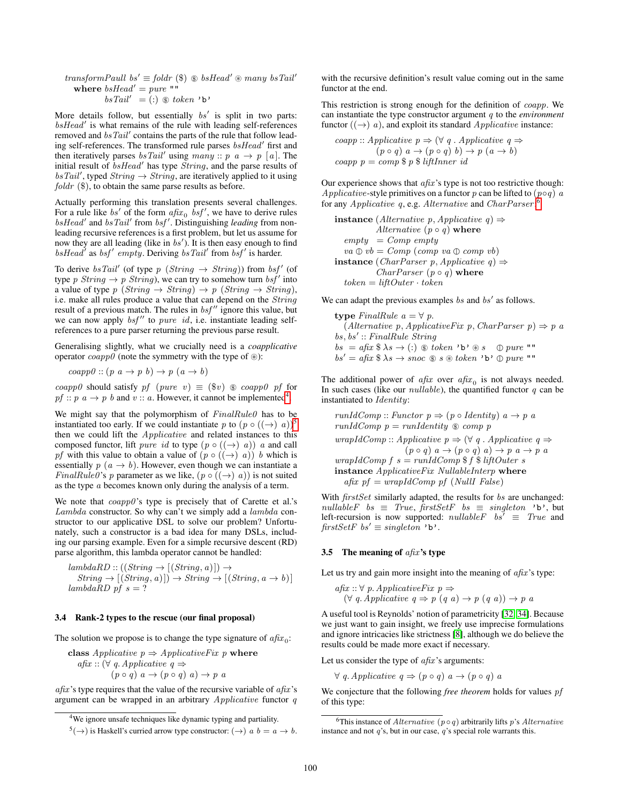transformPaull bs'  $\equiv$  foldr (\$)  $\otimes$  bsHead'  $\otimes$  many bsTail' where  $bsHead' = pure$  ""  $bsTail' = (:) \circledast token 'b'$ 

More details follow, but essentially  $bs'$  is split in two parts:  $bsHead'$  is what remains of the rule with leading self-references removed and  $bsTail'$  contains the parts of the rule that follow leading self-references. The transformed rule parses  $bsHead'$  first and then iteratively parses  $bsTail'$  using  $many :: p \ a \rightarrow p \ [a]$ . The initial result of  $bsHead'$  has type  $String$ , and the parse results of  $bsTail'$ , typed  $String \rightarrow String$ , are iteratively applied to it using *foldr*  $(\$)$ , to obtain the same parse results as before.

Actually performing this translation presents several challenges. For a rule like bs' of the form  $a\hat{f}x_0$  bsf', we have to derive rules bsHead' and bsTail' from bsf'. Distinguishing leading from nonleading recursive references is a first problem, but let us assume for now they are all leading (like in  $bs'$ ). It is then easy enough to find  $bsHead'$  as  $bsf'$  empty. Deriving  $bsTail'$  from  $bsf'$  is harder.

To derive  $bsTail'$  (of type  $p \; (String \rightarrow String)$ ) from  $bsf'$  (of type p String  $\rightarrow p$  String), we can try to somehow turn bsf' into a value of type  $p \; (String \rightarrow String) \rightarrow p \; (String \rightarrow String)$ , i.e. make all rules produce a value that can depend on the String result of a previous match. The rules in  $bsf''$  ignore this value, but we can now apply  $bsf''$  to pure id, i.e. instantiate leading selfreferences to a pure parser returning the previous parse result.

Generalising slightly, what we crucially need is a *coapplicative* operator  $coapp0$  (note the symmetry with the type of  $\circledast$ ):

 $c\alpha app0 :: (p \ a \rightarrow p \ b) \rightarrow p \ (a \rightarrow b)$ 

coapp0 should satisfy pf (pure v)  $\equiv$  (\$v)  $\circledast$  coapp0 pf for pf ::  $p \, a \rightarrow p \, b$  and  $v \, \text{::} \, a$ . However, it cannot be implemented<sup>[4](#page-3-0)</sup>.

We might say that the polymorphism of  $FinalRule0$  has to be instantiated too early. If we could instantiate p to  $(p \circ ((\rightarrow) a))^5$  $(p \circ ((\rightarrow) a))^5$ then we could lift the Applicative and related instances to this composed functor, lift *pure id* to type  $(p \circ ((\rightarrow) a))$  *a* and call pf with this value to obtain a value of  $(p \circ ((\rightarrow) a))$  b which is essentially  $p(a \rightarrow b)$ . However, even though we can instantiate a *FinalRule0*'s p parameter as we like,  $(p \circ ((\rightarrow) a))$  is not suited as the type a becomes known only during the analysis of a term.

We note that  $\operatorname{coapp0}$ 's type is precisely that of Carette et al.'s Lambda constructor. So why can't we simply add a lambda constructor to our applicative DSL to solve our problem? Unfortunately, such a constructor is a bad idea for many DSLs, including our parsing example. Even for a simple recursive descent (RD) parse algorithm, this lambda operator cannot be handled:

 $lambdaRD :: ((String \rightarrow [(String, a)]) \rightarrow$  $String \rightarrow [(String, a)] \rightarrow String \rightarrow [(String, a \rightarrow b)]$  $lambda$ RD pf  $s = ?$ 

#### <span id="page-3-3"></span>3.4 Rank-2 types to the rescue (our final proposal)

The solution we propose is to change the type signature of  $afix_0$ :

class Applicative  $p \Rightarrow Application$ afix ::  $(\forall q. \mathit{Applicative} q \Rightarrow$  $(p \circ q)$   $a \rightarrow (p \circ q)$   $a) \rightarrow p$  a

 $afix$ 's type requires that the value of the recursive variable of  $afix$ 's argument can be wrapped in an arbitrary  $Applicative$  functor  $q$ 

with the recursive definition's result value coming out in the same functor at the end.

This restriction is strong enough for the definition of coapp. We can instantiate the type constructor argument q to the *environment* functor  $((\rightarrow)$  a), and exploit its standard *Applicative* instance:

coup: *Applicative* 
$$
p \Rightarrow (\forall q \cdot Applicative q \Rightarrow (p \circ q) a \rightarrow (p \circ q) b) \rightarrow p (a \rightarrow b)
$$
  
coapp  $p = comp \$ p \$ lifInner id$ 

Our experience shows that  $afix$ 's type is not too restrictive though: Applicative-style primitives on a functor p can be lifted to  $(p \circ q)$  a for any Applicative q, e.g. Alternative and CharParser:<sup>[6](#page-3-2)</sup>

instance (Alternative p, Applicative q)  $\Rightarrow$ Alternative  $(p \circ q)$  where  $empty = Comp$  empty  $va \oplus vb = Comp (comp va \oplus comp vb)$ instance (*CharParser p, Applicative q*)  $\Rightarrow$ *CharParser*  $(p \circ q)$  where  $token = liftOuter \cdot token$ 

We can adapt the previous examples  $bs$  and  $bs'$  as follows.

type FinalRule  $a = \forall p$ .  $(Alternative p, Applicative Fix p, CharParser p) \Rightarrow p a$  $bs, bs' :: FinalRule String$  $bs = afix \, \$ \, \lambda s \rightarrow (:) \, \circledast \, token \, 'b' \circledast s \, \circledast \, pure \, "$ " bs<sup>0</sup> <sup>=</sup> afix \$ <sup>λ</sup><sup>s</sup> <sup>→</sup> snoc #\$ <sup>s</sup> <sup>~</sup> token 'b' pure ""

The additional power of  $a\hat{f}xx$  over  $a\hat{f}xx_0$  is not always needed. In such cases (like our  $nullable$ ), the quantified functor q can be instantiated to Identity:

runIdComp :: Functor p ⇒ (p ◦ Identity) a → p a runIdComp p <sup>=</sup> runIdentity #\$ comp p wrapIdComp :: Applicative p ⇒ (∀ q . Applicative q ⇒ (p ◦ q) a → (p ◦ q) a) → p a → p a wrapIdComp f s = runIdComp \$ f \$ liftOuter s instance ApplicativeFix NullableInterp where afix pf = wrapIdComp pf (NullI False)

With  $firstSet$  similarly adapted, the results for bs are unchanged:  $nullableF$  bs  $\equiv$  True, firstSetF bs  $\equiv$  singleton 'b', but left-recursion is now supported:  $nullableF \quad bs^{\dagger} \equiv True$  and firstSetF bs'  $\equiv$  singleton 'b'.

#### 3.5 The meaning of  $a\hat{f}x$ 's type

Let us try and gain more insight into the meaning of  $af(x)$ 's type:

$$
afix :: \forall p. \, ApplicationFix \, p \Rightarrow (\forall q. \, Application \, q \Rightarrow p \, (q \, a) \rightarrow p \, (q \, a)) \rightarrow p \, a
$$

A useful tool is Reynolds' notion of parametricity [\[32,](#page-9-11) [34\]](#page-9-12). Because we just want to gain insight, we freely use imprecise formulations and ignore intricacies like strictness [\[8\]](#page-9-13), although we do believe the results could be made more exact if necessary.

Let us consider the type of  $a\hat{h}x$ 's arguments:

 $\forall q$ . Applicative  $q \Rightarrow (p \circ q) \; a \rightarrow (p \circ q) \; a$ 

We conjecture that the following *free theorem* holds for values pf of this type:

<span id="page-3-0"></span><sup>4</sup>We ignore unsafe techniques like dynamic typing and partiality.

<span id="page-3-1"></span> $(5(\rightarrow)$  is Haskell's curried arrow type constructor:  $(\rightarrow)$  a  $b = a \rightarrow b$ .

<span id="page-3-2"></span><sup>&</sup>lt;sup>6</sup>This instance of *Alternative* ( $p \circ q$ ) arbitrarily lifts p's *Alternative* instance and not q's, but in our case, q's special role warrants this.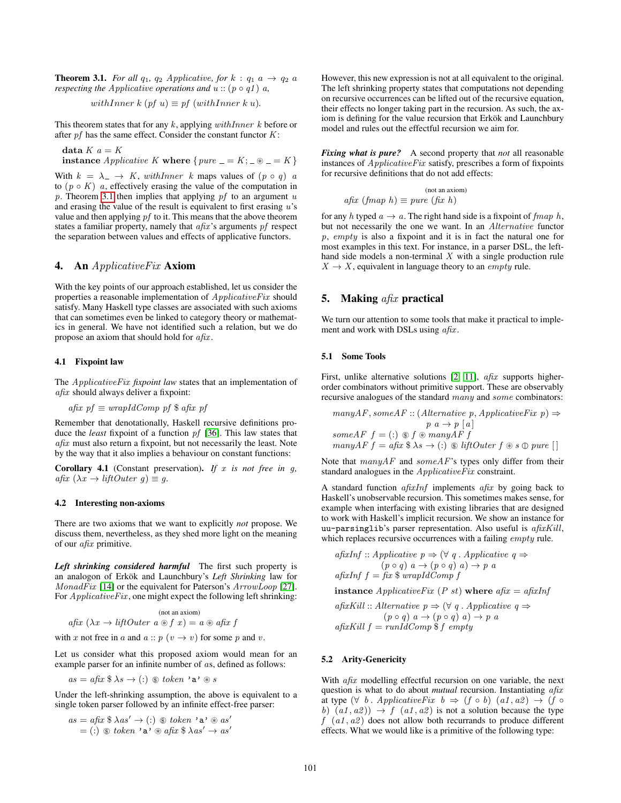<span id="page-4-3"></span>**Theorem 3.1.** *For all*  $q_1$ ,  $q_2$  *Applicative, for*  $k : q_1$  *a*  $\rightarrow$   $q_2$  *a respecting the Applicative operations and*  $u$  :: ( $p \circ q1$ )  $a$ *,* 

withInner 
$$
k
$$
 (pf  $u$ )  $\equiv$  pf (withInner  $k$   $u$ ).

This theorem states that for any  $k$ , applying  $withInner \; k$  before or after  $pf$  has the same effect. Consider the constant functor  $K$ :

data  $K$   $a = K$ 

instance Applicative K where  $\{pure = K; \exists \circledast = K\}$ 

With  $k = \lambda_- \rightarrow K$ , with *Inner* k maps values of  $(p \circ q)$  a to  $(p \circ K)$  a, effectively erasing the value of the computation in p. Theorem [3.1](#page-4-3) then implies that applying  $pf$  to an argument  $u$ and erasing the value of the result is equivalent to first erasing  $u$ 's value and then applying pf to it. This means that the above theorem states a familiar property, namely that  $a\hat{f}x$ 's arguments  $pf$  respect the separation between values and effects of applicative functors.

## <span id="page-4-0"></span>4. An *ApplicativeFix* Axiom

With the key points of our approach established, let us consider the properties a reasonable implementation of ApplicativeFix should satisfy. Many Haskell type classes are associated with such axioms that can sometimes even be linked to category theory or mathematics in general. We have not identified such a relation, but we do propose an axiom that should hold for  $a\hat{f}xx$ .

#### 4.1 Fixpoint law

The ApplicativeFix *fixpoint law* states that an implementation of afix should always deliver a fixpoint:

$$
afix \text{ } pf \equiv wrapIdComp \text{ } pf \text{ } $afix \text{ } pf
$$

Remember that denotationally, Haskell recursive definitions produce the *least* fixpoint of a function pf [\[36\]](#page-9-4). This law states that afix must also return a fixpoint, but not necessarily the least. Note by the way that it also implies a behaviour on constant functions:

Corollary 4.1 (Constant preservation). If x is not free in g, afix  $(\lambda x \rightarrow liftOuter g) \equiv g$ .

#### 4.2 Interesting non-axioms

There are two axioms that we want to explicitly *not* propose. We discuss them, nevertheless, as they shed more light on the meaning of our afix primitive.

<span id="page-4-2"></span>*Left shrinking considered harmful* The first such property is an analogon of Erkök and Launchbury's Left Shrinking law for MonadFix [\[14\]](#page-9-8) or the equivalent for Paterson's ArrowLoop [\[27\]](#page-9-14). For  $Applicative Fix$ , one might expect the following left shrinking:

$$
\text{(not an axiom)}\\a\text{fix }(\lambda x \to \text{liftOuter } a \circledast f \ x) = a \circledast a\text{fix } f
$$

with x not free in a and  $a :: p (v \rightarrow v)$  for some p and v.

Let us consider what this proposed axiom would mean for an example parser for an infinite number of as, defined as follows:

as <sup>=</sup> afix \$ <sup>λ</sup><sup>s</sup> <sup>→</sup> (:) #\$ token 'a' <sup>~</sup> <sup>s</sup>

Under the left-shrinking assumption, the above is equivalent to a single token parser followed by an infinite effect-free parser:

$$
as = afix \$ \lambda as' \rightarrow (:) \circledast token \cdot a \cdot \circledast as'
$$
  
= (:)  $\circledast token \cdot a \cdot \circledast afix \$ \lambda as' \rightarrow as'$ 

However, this new expression is not at all equivalent to the original. The left shrinking property states that computations not depending on recursive occurrences can be lifted out of the recursive equation, their effects no longer taking part in the recursion. As such, the axiom is defining for the value recursion that Erkök and Launchbury model and rules out the effectful recursion we aim for.

*Fixing what is pure?* A second property that *not* all reasonable instances of ApplicativeFix satisfy, prescribes a form of fixpoints for recursive definitions that do not add effects:

$$
a\text{fix (fmap } h) \equiv pure \text{ (fix } h)
$$

for any h typed  $a \rightarrow a$ . The right hand side is a fixpoint of fmap h, but not necessarily the one we want. In an Alternative functor p, empty is also a fixpoint and it is in fact the natural one for most examples in this text. For instance, in a parser DSL, the lefthand side models a non-terminal  $X$  with a single production rule  $X \rightarrow X$ , equivalent in language theory to an *empty* rule.

## <span id="page-4-1"></span>5. Making  $afix$  practical

We turn our attention to some tools that make it practical to implement and work with DSLs using  $a\hat{f}$ x.

## <span id="page-4-4"></span>5.1 Some Tools

First, unlike alternative solutions [\[2,](#page-9-15) [11\]](#page-9-16), *afix* supports higherorder combinators without primitive support. These are observably recursive analogues of the standard many and some combinators:

$$
manyAF, some AF :: (Alternative p, Applicative Fix p) \Rightarrow p \ a \rightarrow p [a]
$$

$$
someAF f = (:) \circledast f \circledast manyAF f
$$

$$
manyAF f = afx \circledast \lambda s \rightarrow (:) \circledast liftOuter f \circledast s \circledast pure []
$$

Note that  $manyAF$  and  $someAF$ 's types only differ from their standard analogues in the ApplicativeFix constraint.

A standard function  $a\hat{f}x\hat{f}$  implements  $a\hat{f}x$  by going back to Haskell's unobservable recursion. This sometimes makes sense, for example when interfacing with existing libraries that are designed to work with Haskell's implicit recursion. We show an instance for uu-parsinglib's parser representation. Also useful is afixKill, which replaces recursive occurrences with a failing *empty* rule.

afixInf :: Applicative 
$$
p \Rightarrow (\forall q \in Applicative q \Rightarrow (p \circ q) \in a \rightarrow (p \circ q) \in a) \rightarrow p \in a
$$
  
afixInf  $f = fix \$ wrapIdComp f$ 

instance ApplicativeFix (P st) where  $afix = afixInf$ 

afixKill :: Alternative  $p \Rightarrow (\forall q \in Applicative q \Rightarrow$  $(p \circ q)$   $a \rightarrow (p \circ q)$   $a) \rightarrow p$  a  $afixKill f = runIdComp$  \$f empty

#### <span id="page-4-5"></span>5.2 Arity-Genericity

With *afix* modelling effectful recursion on one variable, the next question is what to do about *mutual* recursion. Instantiating afix at type  $(\forall b \cdot \text{ApplicativeFix } b \Rightarrow (f \circ b) \cdot (a1, a2) \rightarrow (f \circ b)$ b)  $(a1, a2)$   $\rightarrow$  f  $(a1, a2)$  is not a solution because the type  $f(a1, a2)$  does not allow both recurrands to produce different effects. What we would like is a primitive of the following type: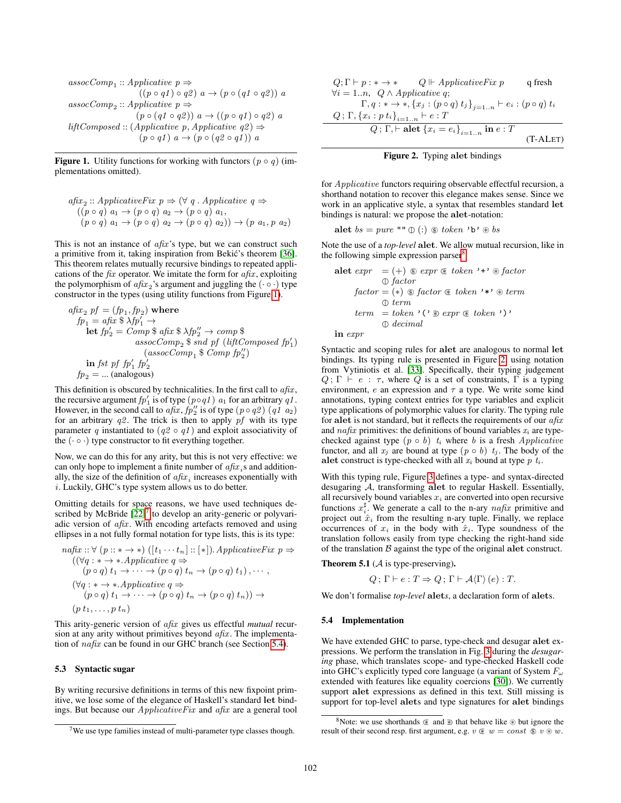$$
assocComp_1 :: Applicative p \Rightarrow
$$
  
\n
$$
((p \circ q1) \circ q2) \quad a \rightarrow (p \circ (q1 \circ q2)) \quad a
$$
  
\n
$$
assocComp_2 :: Applicative p \Rightarrow
$$
  
\n
$$
(p \circ (q1 \circ q2)) \quad a \rightarrow ((p \circ q1) \circ q2) \quad a
$$
  
\n
$$
liftComposed :: (Applicative p, Applicative q2) \Rightarrow
$$
  
\n
$$
(p \circ q1) \quad a \rightarrow (p \circ (q2 \circ q1)) \quad a
$$

<span id="page-5-0"></span>**Figure 1.** Utility functions for working with functors  $(p \circ q)$  (implementations omitted).

$$
afix_2 :: ApplicativeFix \ p \Rightarrow (\forall q \ . Applicative \ q \Rightarrow
$$
  
((p \circ q) a\_1 \rightarrow (p \circ q) a\_2 \rightarrow (p \circ q) a\_1,  
(p \circ q) a\_1 \rightarrow (p \circ q) a\_2 \rightarrow (p \circ q) a\_2)) \rightarrow (p \ a\_1, p \ a\_2)

This is not an instance of  $a\hat{f}x$ 's type, but we can construct such a primitive from it, taking inspiration from Bekic's theorem [\[36\]](#page-9-4). ´ This theorem relates mutually recursive bindings to repeated applications of the  $fix$  operator. We imitate the form for  $afix$ , exploiting the polymorphism of  $afix_2$ 's argument and juggling the  $(\cdot \circ \cdot)$  type constructor in the types (using utility functions from Figure [1\)](#page-5-0).

afix <sup>2</sup> pf = (fp<sup>1</sup> , fp<sup>2</sup> ) where fp<sup>1</sup> = afix \$ λfp<sup>0</sup> <sup>1</sup> → let fp<sup>0</sup> <sup>2</sup> = Comp \$ afix \$ λfp<sup>00</sup> <sup>2</sup> → comp \$ assocComp<sup>2</sup> \$ snd pf (liftComposed fp<sup>0</sup> 1 ) (assocComp<sup>1</sup> \$ Comp fp<sup>00</sup> 2 ) in fst pf fp<sup>0</sup> 1 fp0 2 fp<sup>2</sup> = ... (analogous)

This definition is obscured by technicalities. In the first call to  $a\hat{f}xx$ , the recursive argument  $fp'_1$  is of type  $(p \circ q1)$  a<sub>1</sub> for an arbitrary  $q1$ . However, in the second call to  $a\hat{f}x$ ,  $\hat{f}p''_2$  is of type  $(p \circ q2)$   $(q1\ a_2)$ for an arbitrary  $q\mathscr{L}$ . The trick is then to apply pf with its type parameter q instantiated to  $(q2 \circ q1)$  and exploit associativity of the  $(\cdot \circ \cdot)$  type constructor to fit everything together.

Now, we can do this for any arity, but this is not very effective: we can only hope to implement a finite number of  $afix_i$ s and additionally, the size of the definition of  $a\hat{h}x_i$  increases exponentially with  $i$ . Luckily, GHC's type system allows us to do better.

Omitting details for space reasons, we have used techniques described by McBride  $[22]$ <sup>[7](#page-5-1)</sup> to develop an arity-generic or polyvariadic version of  $a\hat{f}xx$ . With encoding artefacts removed and using ellipses in a not fully formal notation for type lists, this is its type:

$$
nafix:: \forall (p::* \rightarrow *) ([t_1 \cdots t_n]:[:[*]).\text{ ApplicativeFix } p \Rightarrow
$$
  
\n
$$
((\forall q : * \rightarrow *.\text{ Applicative } q \Rightarrow
$$
  
\n
$$
(p \circ q) t_1 \rightarrow \cdots \rightarrow (p \circ q) t_n \rightarrow (p \circ q) t_1), \cdots,
$$
  
\n
$$
(\forall q : * \rightarrow *.\text{ Applicative } q \Rightarrow
$$
  
\n
$$
(p \circ q) t_1 \rightarrow \cdots \rightarrow (p \circ q) t_n \rightarrow (p \circ q) t_n)) \rightarrow
$$
  
\n
$$
(p t_1, \ldots, p t_n)
$$

This arity-generic version of afix gives us effectful *mutual* recursion at any arity without primitives beyond  $a\hat{f}x$ . The implementation of nafix can be found in our GHC branch (see Section [5.4\)](#page-5-2).

#### <span id="page-5-5"></span>5.3 Syntactic sugar

By writing recursive definitions in terms of this new fixpoint primitive, we lose some of the elegance of Haskell's standard let bindings. But because our ApplicativeFix and afix are a general tool

|                                                | $Q: \Gamma \vdash p : * \rightarrow *$ $Q \Vdash \textit{ApplicativeFix } p$        | q fresh    |
|------------------------------------------------|-------------------------------------------------------------------------------------|------------|
| $\forall i = 1n, \ Q \wedge Applicative \ q;$  |                                                                                     |            |
|                                                | $\Gamma, q: * \to *, \{x_j : (p \circ q) t_j\}_{i=1n} \vdash e_i : (p \circ q) t_i$ |            |
| $Q; \Gamma, \{x_i : p t_i\}_{i=1}^r$ + $e : T$ |                                                                                     |            |
|                                                | Q; $\Gamma$ , $\vdash$ alet $\{x_i = e_i\}_{i=1n}$ in $e : T$                       |            |
|                                                |                                                                                     | $(T-ALET)$ |

<span id="page-5-4"></span>Figure 2. Typing alet bindings

for Applicative functors requiring observable effectful recursion, a shorthand notation to recover this elegance makes sense. Since we work in an applicative style, a syntax that resembles standard let bindings is natural: we propose the alet-notation:

$$
\textbf{alet } bs = pure \text{ "" } \oplus (:) \text{ } \oplus \text{ } token \text{ 'b'} \oplus bs
$$

Note the use of a *top-level* alet. We allow mutual recursion, like in the following simple expression parser<sup>[8](#page-5-3)</sup>

alet expr = (+) #\$ expr ⊂∗ token '+' <sup>~</sup> factor factor factor = (∗) #\$ factor ⊂∗ token '\*' <sup>~</sup> term term term = token '(' ∗⊃ expr ⊂∗ token ')' decimal

in expr

Syntactic and scoping rules for alet are analogous to normal let bindings. Its typing rule is presented in Figure [2,](#page-5-4) using notation from Vytiniotis et al. [\[33\]](#page-9-18). Specifically, their typing judgement  $Q$ ;  $\Gamma \vdash e : \tau$ , where  $Q$  is a set of constraints,  $\Gamma$  is a typing environment,  $e$  an expression and  $\tau$  a type. We write some kind annotations, typing context entries for type variables and explicit type applications of polymorphic values for clarity. The typing rule for alet is not standard, but it reflects the requirements of our  $a\hat{h}x$ and nafix primitives: the definitions of bound variables  $x_i$  are typechecked against type  $(p \circ b)$   $t_i$  where b is a fresh *Applicative* functor, and all  $x_j$  are bound at type  $(p \circ b)$   $t_j$ . The body of the alet construct is type-checked with all  $x_i$  bound at type  $p$   $t_i$ .

With this typing rule, Figure [3](#page-6-1) defines a type- and syntax-directed desugaring A, transforming alet to regular Haskell. Essentially, all recursively bound variables  $x_i$  are converted into open recursive functions  $x_i^{\sharp}$ . We generate a call to the n-ary  $nafix$  primitive and project out  $\hat{x}_i$  from the resulting n-ary tuple. Finally, we replace occurrences of  $x_i$  in the body with  $\hat{x}_i$ . Type soundness of the translation follows easily from type checking the right-hand side of the translation  $B$  against the type of the original alet construct.

**Theorem 5.1** ( $\mathcal A$  is type-preserving).

$$
Q; \Gamma \vdash e : T \Rightarrow Q; \Gamma \vdash \mathcal{A} \langle \Gamma \rangle \left( e \right) : T.
$$

We don't formalise *top-level* alet*s*, a declaration form of alets.

#### <span id="page-5-2"></span>5.4 Implementation

We have extended GHC to parse, type-check and desugar alet expressions. We perform the translation in Fig. [3](#page-6-1) during the *desugaring* phase, which translates scope- and type-checked Haskell code into GHC's explicitly typed core language (a variant of System  $F_{\omega}$ ) extended with features like equality coercions [\[30\]](#page-9-19)). We currently support alet expressions as defined in this text. Still missing is support for top-level alets and type signatures for alet bindings

<span id="page-5-1"></span> $7$ We use type families instead of multi-parameter type classes though.

<span id="page-5-3"></span><sup>&</sup>lt;sup>8</sup>Note: we use shorthands  $\textcircledast$  and  $\textcircledast$  that behave like  $\textcircledast$  but ignore the result of their second resp. first argument, e.g.  $v \& w = const \& v \& w$ .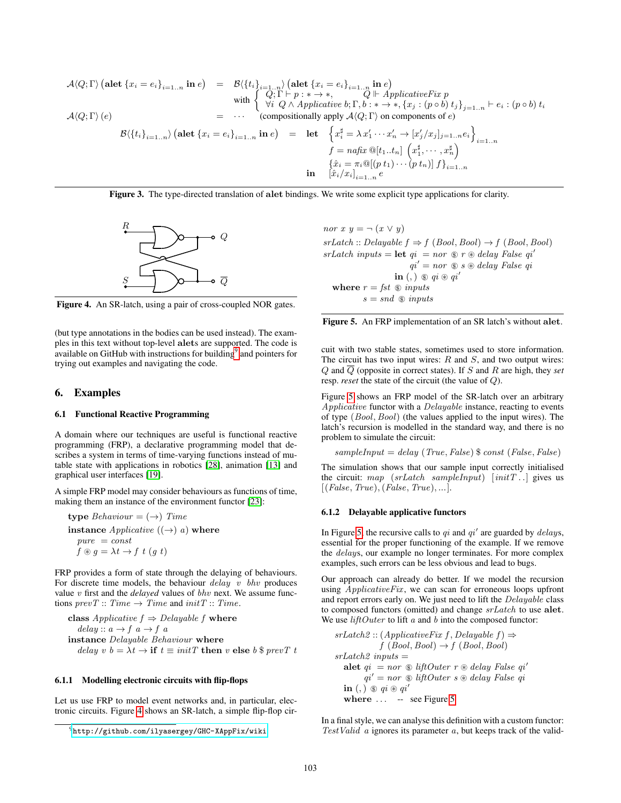$$
\mathcal{A}\langle Q; \Gamma \rangle \left(\text{alet } \{x_i = e_i\}_{i=1..n} \text{ in } e\right) = \mathcal{B}\langle \{t_i\}_{i=1..n} \rangle \left(\text{alet } \{x_i = e_i\}_{i=1..n} \text{ in } e\right)
$$
\nwith\n
$$
\begin{cases}\nQ; \Gamma \vdash p : * \to *, & Q \Vdash Application \text{ in } e \\
\forall i \ Q \land Applicative \ b; \Gamma, b : * \to *, \{x_j : (p \circ b) t_j\}_{j=1..n} \vdash e_i : (p \circ b) t_i \\
\forall i \ Q \land Applicative \ b; \Gamma, b : * \to *, \{x_j : (p \circ b) t_j\}_{j=1..n} \vdash e_i : (p \circ b) t_i \\
\text{compositionally apply } \mathcal{A}\langle Q; \Gamma \rangle \text{ on components of } e\n\end{cases}
$$
\n
$$
\mathcal{B}\langle \{t_i\}_{i=1..n}\rangle \left(\text{alet } \{x_i = e_i\}_{i=1..n} \text{ in } e\right) = \text{let } \begin{cases}\n\{x_i^{\sharp} = \lambda x'_1 \cdots x'_n \to [x'_j / x_j]_{j=1..n} e_i\} \\
f = nafix \mathcal{Q}[t_1..t_n] \left(x_1^{\sharp}, \cdots, x_n^{\sharp}\right) \\
\{\hat{x}_i = \pi_i \mathcal{Q}[(p t_1) \cdots (p t_n)] \}f\}_{i=1..n} \\
\text{in } [\hat{x}_i / x_i]_{i=1..n} e\n\end{cases}
$$

<span id="page-6-1"></span>Figure 3. The type-directed translation of alet bindings. We write some explicit type applications for clarity.



<span id="page-6-3"></span>Figure 4. An SR-latch, using a pair of cross-coupled NOR gates.

(but type annotations in the bodies can be used instead). The examples in this text without top-level alets are supported. The code is available on GitHub with instructions for building<sup>[9](#page-6-2)</sup> and pointers for trying out examples and navigating the code.

## <span id="page-6-0"></span>6. Examples

#### 6.1 Functional Reactive Programming

A domain where our techniques are useful is functional reactive programming (FRP), a declarative programming model that describes a system in terms of time-varying functions instead of mutable state with applications in robotics [\[28\]](#page-9-20), animation [\[13\]](#page-9-21) and graphical user interfaces [\[19\]](#page-9-22).

A simple FRP model may consider behaviours as functions of time, making them an instance of the environment functor [\[23\]](#page-9-5):

type Behaviour  $= (\rightarrow)$  Time instance  $Applicative ((\rightarrow) a)$  where  $pure = const$  $f \circledast g = \lambda t \rightarrow f \cdot t \cdot (g \cdot t)$ 

FRP provides a form of state through the delaying of behaviours. For discrete time models, the behaviour  $delay \, v \, bhv$  produces value v first and the *delayed* values of bhv next. We assume functions  $prevT :: Time \rightarrow Time$  and  $initT :: Time$ .

class *Applicative* 
$$
f \Rightarrow
$$
 *Delayable*  $f$  **where**  
delay ::  $a \rightarrow f$   $a \rightarrow f$   $a$   
**instance** *Delayable Behavior* **where**  
delay  $v$   $b = \lambda t \rightarrow$  **if**  $t \equiv initT$  **then**  $v$  **else**  $b$   $\$ prevT$   $t$ 

## 6.1.1 Modelling electronic circuits with flip-flops

Let us use FRP to model event networks and, in particular, electronic circuits. Figure [4](#page-6-3) shows an SR-latch, a simple flip-flop cirnor  $x \ y = \neg (x \lor y)$  $srLatch :: Delayable f \Rightarrow f (Bool, Bool) \rightarrow f (Bool, Bool)$  $srLatch inputs = let qi = nor * * delay False qi'$  $qi' = nor \otimes s \otimes delay$  False qi in (, )  $\circledast$   $qi \circledast qi'$ where  $r = fst \text{ } \textcircled{s}$  inputs  $s = snd \text{ } \textcircled{s}$  inputs



<span id="page-6-4"></span>cuit with two stable states, sometimes used to store information. The circuit has two input wires:  $R$  and  $S$ , and two output wires:  $Q$  and  $\overline{Q}$  (opposite in correct states). If S and R are high, they *set* resp. *reset* the state of the circuit (the value of Q).

Figure [5](#page-6-4) shows an FRP model of the SR-latch over an arbitrary Applicative functor with a Delayable instance, reacting to events of type (Bool, Bool) (the values applied to the input wires). The latch's recursion is modelled in the standard way, and there is no problem to simulate the circuit:

 $sampleInput = delay (True, False)$  \$ const (False, False)

The simulation shows that our sample input correctly initialised the circuit: map (srLatch sampleInput)  $[initT...]$  gives us  $[(False, True), (False, True), ...].$ 

## 6.1.2 Delayable applicative functors

In Figure [5,](#page-6-4) the recursive calls to  $qi$  and  $qi'$  are guarded by *delays*, essential for the proper functioning of the example. If we remove the delays, our example no longer terminates. For more complex examples, such errors can be less obvious and lead to bugs.

Our approach can already do better. If we model the recursion using *ApplicativeFix*, we can scan for erroneous loops upfront and report errors early on. We just need to lift the *Delayable* class to composed functors (omitted) and change  $srLatch$  to use alet. We use  $liftOuter$  to lift  $a$  and  $b$  into the composed functor:

```
srLatch2 :: (Applicative Fix f, Delayable f) \Rightarrowf (Bool, Bool) \rightarrow f (Bool, Bool)srLatch2 inputs =alet qi = nor \otimes liftOuter \rhd delay False qi'qi' = nor \otimes liftOuter \simes delay \; False \; qiin (, ) \circledast qi \circledast qi'
  where \dots 5
```
In a final style, we can analyse this definition with a custom functor: Test Valid  $\alpha$  ignores its parameter  $\alpha$ , but keeps track of the valid-

<span id="page-6-2"></span><sup>9</sup><http://github.com/ilyasergey/GHC-XAppFix/wiki>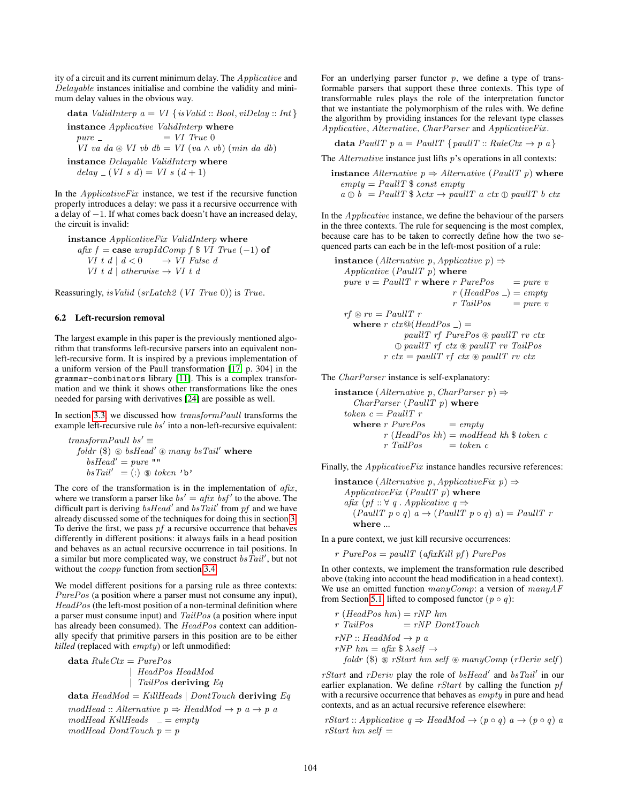ity of a circuit and its current minimum delay. The Applicative and Delayable instances initialise and combine the validity and minimum delay values in the obvious way.

$$
\mathbf{data}\; \mathit{ValidInterp}\; a = \mathit{VI} \; \{ \mathit{isValid} :: \mathit{Bool}, \mathit{viDelay} :: \mathit{Int} \}
$$

instance Applicative ValidInterp where  $pure =$   $= VI$   $True$  0  $VI$  va da  $\mathcal D$  VI vb db = VI (va  $\wedge$  vb) (min da db)

instance Delayable ValidInterp where  $delay = (VI \ s \ d) = VI \ s \ (d+1)$ 

In the  $Applicative Fix$  instance, we test if the recursive function properly introduces a delay: we pass it a recursive occurrence with a delay of −1. If what comes back doesn't have an increased delay, the circuit is invalid:

instance ApplicativeFix ValidInterp where afix  $f = \cose \nwrapIdComp f \$  VI True  $(-1)$  of VI t d |  $d < 0$   $\longrightarrow$  VI False d VI t d | otherwise  $\rightarrow$  VI t d

Reassuringly, isValid (srLatch2 (VI True 0)) is True.

#### <span id="page-7-0"></span>6.2 Left-recursion removal

The largest example in this paper is the previously mentioned algorithm that transforms left-recursive parsers into an equivalent nonleft-recursive form. It is inspired by a previous implementation of a uniform version of the Paull transformation [\[17,](#page-9-23) p. 304] in the grammar-combinators library [\[11\]](#page-9-16). This is a complex transformation and we think it shows other transformations like the ones needed for parsing with derivatives [\[24\]](#page-9-24) are possible as well.

In section [3.3,](#page-2-1) we discussed how transformPaull transforms the example left-recursive rule  $bs'$  into a non-left-recursive equivalent:

$$
transformPaull\ bs' \equiv
$$
  
foldr (\$)  $\circledast$  bs $Head' \circledast$  many bs $Tail'$  where  
bs $Tail' = (:)$   $\circledast$  token 'b'

The core of the transformation is in the implementation of  $a\hat{f}xx$ , where we transform a parser like  $bs' = afix \; bsf'$  to the above. The difficult part is deriving  $bsHead'$  and  $bsTail'$  from pf and we have already discussed some of the techniques for doing this in section [3.](#page-2-0) To derive the first, we pass  $pf$  a recursive occurrence that behaves differently in different positions: it always fails in a head position and behaves as an actual recursive occurrence in tail positions. In a similar but more complicated way, we construct  $bs\overline{Tail}'$ , but not without the coapp function from section [3.4.](#page-3-3)

We model different positions for a parsing rule as three contexts: PurePos (a position where a parser must not consume any input), HeadPos (the left-most position of a non-terminal definition where a parser must consume input) and TailPos (a position where input has already been consumed). The HeadPos context can additionally specify that primitive parsers in this position are to be either *killed* (replaced with *empty*) or left unmodified:

data  $RuleCtx = PurePos$ | HeadPos HeadMod | TailPos deriving Eq

data  $HeadMod = KillHeads \mid DontTouch$  deriving Eq

 $modHead :: Alternative p \Rightarrow HeadMod \rightarrow p a \rightarrow p a$  $modHead$  KillHeads  $= empty$  $modHead$  DontTouch  $p = p$ 

For an underlying parser functor  $p$ , we define a type of transformable parsers that support these three contexts. This type of transformable rules plays the role of the interpretation functor that we instantiate the polymorphism of the rules with. We define the algorithm by providing instances for the relevant type classes Applicative, Alternative, CharParser and ApplicativeFix .

$$
\text{data } PaulIT \ p \ a = PaulIT \ \{ \text{paulIT} :: RuleCtx \rightarrow p \ a \}
$$

The  $Alternative$  instance just lifts  $p$ 's operations in all contexts:

**instance** Alternative 
$$
p \Rightarrow Alternative
$$
 (PaulIT p) where  
empty = PaulIT \$ const empty  
 $a \oplus b = PaulIT $ \lambda ctx \rightarrow paulIT a ctx \oplus paulIT b ctx$ 

In the Applicative instance, we define the behaviour of the parsers in the three contexts. The rule for sequencing is the most complex, because care has to be taken to correctly define how the two sequenced parts can each be in the left-most position of a rule:

**instance** (*Alternative* 
$$
p
$$
, *Applicative*  $p$ )  $\Rightarrow$   
\n*Applicative* (*PaulIT*  $p$ ) **where**  
\n $pure \ v = PaulIT \ r$  **where**  $r$  *PurePos*  $=$  *pure*  $v$   
\n $r$  (*HeadPos*  $) =$  *empty*  
\n $r$   $\circledast$   $r$   $r$  *tailPos*  $=$  *pure*  $v$   
\n**where**  $r$   $ctx@(HeadPos \ ) =$   
\n $pullT \ rf \ PurePos \circledast \ paulIT \ rv \ ctx$   
\n $① \ paulIT \ rf \ ctx \circledast \ paulIT \ rv \ ctx$   
\n $rtx = \text{pullT} \ rf \ ctx \circledast \text{ paulIT} \ rv \ ctx$ 

The *CharParser* instance is self-explanatory:

instance (Alternative p, CharParser p)  $\Rightarrow$  $CharParser (Paulit T p)$  where token $\,c=PauliT\,$ r where  $r$  PurePos  $=$  empty  $r$  (HeadPos kh) = modHead kh \\$ token c  $r$  TailPos  $=$  token c

Finally, the *ApplicativeFix* instance handles recursive references:

**instance** (*Alternative* 
$$
p
$$
, *ApplicativeFix*  $p$ )  $\Rightarrow$   
*ApplicativeFix* (*PaulIT*  $p$ ) **where**  
*afix* ( $pf :: \forall q$ . *Applicative*  $q \Rightarrow$   
(*PaulIT*  $p \circ q$ )  $a \rightarrow$  (*PaulIT*  $p \circ q$ )  $a$ ) = *PaulIT*  $r$   
**where** ...

In a pure context, we just kill recursive occurrences:

 $r$  PurePos = paullT (afixKill pf) PurePos

In other contexts, we implement the transformation rule described above (taking into account the head modification in a head context). We use an omitted function  $manyComp$ : a version of  $manyAF$ from Section [5.1,](#page-4-4) lifted to composed functor  $(p \circ q)$ :

$$
r (HeadPos hm) = rNP hm
$$
  
\n
$$
r TailPos = rNP DontTouch
$$
  
\n
$$
rNP :: HeadMod \rightarrow p a
$$
  
\n
$$
rNP hm = afx \$ \lambda self \rightarrow
$$
  
\n
$$
foldr (\$\) \$\ rStart hm self \circledast manyComp (rDeriv self)
$$

rStart and rDeriv play the role of  $bsHead'$  and  $bsTail'$  in our earlier explanation. We define  $rStart$  by calling the function  $pf$ with a recursive occurrence that behaves as *empty* in pure and head contexts, and as an actual recursive reference elsewhere:

rStart :: Applicative  $q \Rightarrow HeadMod \rightarrow (p \circ q)$   $a \rightarrow (p \circ q)$  a  $rStart$  hm self  $=$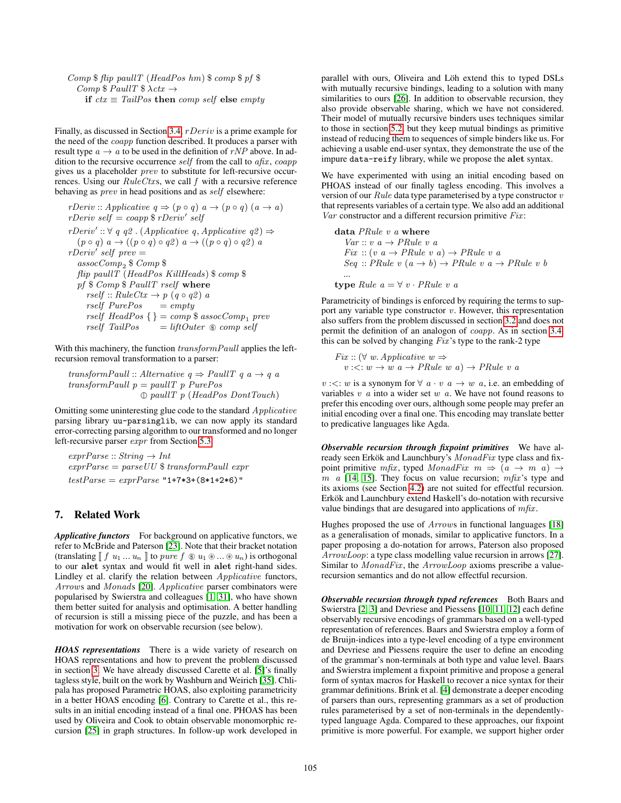Comp \$ flip paullT (HeadPos hm) \$ comp \$ pf \$  $Comp \$  PaullT  $\Rightarrow$ if  $ctx \equiv TailPos$  then comp self else empty

Finally, as discussed in Section [3.4,](#page-3-3) rDeriv is a prime example for the need of the coapp function described. It produces a parser with result type  $a \rightarrow a$  to be used in the definition of rNP above. In addition to the recursive occurrence self from the call to  $afix$ ,  $coapp$ gives us a placeholder prev to substitute for left-recursive occurrences. Using our  $RuleCtxs$ , we call f with a recursive reference behaving as prev in head positions and as self elsewhere:

rDeriv :: Applicative  $q \Rightarrow (p \circ q) \ a \rightarrow (p \circ q) \ (a \rightarrow a)$  $rDeriv\; self = coapp \; \$ \; rDeriv'\; self$  $rDeriv' :: \forall q \ q2$ . (Applicative q, Applicative  $q2$ )  $\Rightarrow$  $(p \circ q) a \rightarrow ((p \circ q) \circ q2) a \rightarrow ((p \circ q) \circ q2) a$  $rDeriv'$  self prev = assocComp<sup>2</sup> \$ Comp \$ flip paullT (HeadPos KillHeads)  $\text{\$ comp } \text{\$}$ pf \$ Comp \$ PaullT rself where  $rself :: RuleCtx \rightarrow p (q \circ q2) a$ <br>  $rself PurePos = empty$  $rself$   $PurePos$ rself  $HeadPos$  { } = comp \$ assocComp<sub>1</sub> prev<br>rself  $TailPos$  =  $liftOuter$  \$ comp self  $\equiv$  liftOuter  $\circledast$  comp self

With this machinery, the function  $transformPaul$  applies the leftrecursion removal transformation to a parser:

transformPaull :: Alternative  $q \Rightarrow$  PaullT  $q a \rightarrow q a$  $transformPaull p = paull T p PurePos$  $\mathbb D$  paullT p (HeadPos DontTouch)

Omitting some uninteresting glue code to the standard Applicative parsing library uu-parsinglib, we can now apply its standard error-correcting parsing algorithm to our transformed and no longer left-recursive parser expr from Section [5.3:](#page-5-5)

 $exprParse :: String \rightarrow Int$  $exprParse = parseUU$  \$ transform Paull expr  $testParse = exprParse$  "1+7\*3+(8\*1+2\*6)"

## <span id="page-8-0"></span>7. Related Work

*Applicative functors* For background on applicative functors, we refer to McBride and Paterson [\[23\]](#page-9-5). Note that their bracket notation (translating  $\llbracket f$   $u_1 ... u_n \rrbracket$  to pure  $f \otimes u_1 \otimes ... \otimes u_n$ ) is orthogonal to our alet syntax and would fit well in alet right-hand sides. Lindley et al. clarify the relation between Applicative functors, Arrows and Monads [\[20\]](#page-9-25). Applicative parser combinators were popularised by Swierstra and colleagues [\[1,](#page-9-7) [31\]](#page-9-1), who have shown them better suited for analysis and optimisation. A better handling of recursion is still a missing piece of the puzzle, and has been a motivation for work on observable recursion (see below).

*HOAS representations* There is a wide variety of research on HOAS representations and how to prevent the problem discussed in section [3.](#page-2-0) We have already discussed Carette et al. [\[5\]](#page-9-10)'s finally tagless style, built on the work by Washburn and Weirich [\[35\]](#page-9-26). Chlipala has proposed Parametric HOAS, also exploiting parametricity in a better HOAS encoding [\[6\]](#page-9-9). Contrary to Carette et al., this results in an initial encoding instead of a final one. PHOAS has been used by Oliveira and Cook to obtain observable monomorphic recursion [\[25\]](#page-9-3) in graph structures. In follow-up work developed in parallel with ours, Oliveira and Löh extend this to typed DSLs with mutually recursive bindings, leading to a solution with many similarities to ours [\[26\]](#page-9-27). In addition to observable recursion, they also provide observable sharing, which we have not considered. Their model of mutually recursive binders uses techniques similar to those in section [5.2,](#page-4-5) but they keep mutual bindings as primitive instead of reducing them to sequences of simple binders like us. For achieving a usable end-user syntax, they demonstrate the use of the impure data-reify library, while we propose the alet syntax.

We have experimented with using an initial encoding based on PHOAS instead of our finally tagless encoding. This involves a version of our  $Rule$  data type parameterised by a type constructor  $v$ that represents variables of a certain type. We also add an additional  $Var$  constructor and a different recursion primitive  $Fix$ :

data PRule v a where  $Var :: v \ a \rightarrow PRule \ v \ a$  $Fix :: (v a \rightarrow PRule v a) \rightarrow PRule v a$  $Seq :: PRule \, v \, (a \rightarrow b) \rightarrow PRule \, v \, a \rightarrow PRule \, v \, b$ ...

type Rule  $a = \forall v \cdot PRule \ v \ a$ 

Parametricity of bindings is enforced by requiring the terms to support any variable type constructor  $v$ . However, this representation also suffers from the problem discussed in section [3.2](#page-2-2) and does not permit the definition of an analogon of coapp. As in section [3.4,](#page-3-3) this can be solved by changing  $Fix$ 's type to the rank-2 type

 $Fix :: (\forall w. Applicative w \Rightarrow$  $v: \langle w \rightarrow w \ a \rightarrow PRule \ w \ a \rangle \rightarrow PRule \ v \ a$ 

 $v: \leq: w$  is a synonym for  $\forall a \cdot v \ a \rightarrow w \ a$ , i.e. an embedding of variables  $v \, a$  into a wider set  $w \, a$ . We have not found reasons to prefer this encoding over ours, although some people may prefer an initial encoding over a final one. This encoding may translate better to predicative languages like Agda.

*Observable recursion through fixpoint primitives* We have already seen Erkök and Launchbury's MonadFix type class and fixpoint primitive mfix, typed MonadFix  $m \Rightarrow (a \rightarrow m \ a) \rightarrow$  $m \alpha$  [\[14,](#page-9-8) [15\]](#page-9-28). They focus on value recursion;  $m\hat{f}x$ 's type and its axioms (see Section [4.2\)](#page-4-2) are not suited for effectful recursion. Erkök and Launchbury extend Haskell's do-notation with recursive value bindings that are desugared into applications of  $m\hat{h}x$ .

Hughes proposed the use of Arrows in functional languages [\[18\]](#page-9-29) as a generalisation of monads, similar to applicative functors. In a paper proposing a do-notation for arrows, Paterson also proposed ArrowLoop: a type class modelling value recursion in arrows [\[27\]](#page-9-14). Similar to *MonadFix*, the *ArrowLoop* axioms prescribe a valuerecursion semantics and do not allow effectful recursion.

*Observable recursion through typed references* Both Baars and Swierstra [\[2,](#page-9-15) [3\]](#page-9-30) and Devriese and Piessens [\[10,](#page-9-31) [11,](#page-9-16) [12\]](#page-9-32) each define observably recursive encodings of grammars based on a well-typed representation of references. Baars and Swierstra employ a form of de Bruijn-indices into a type-level encoding of a type environment and Devriese and Piessens require the user to define an encoding of the grammar's non-terminals at both type and value level. Baars and Swierstra implement a fixpoint primitive and propose a general form of syntax macros for Haskell to recover a nice syntax for their grammar definitions. Brink et al. [\[4\]](#page-9-33) demonstrate a deeper encoding of parsers than ours, representing grammars as a set of production rules parameterised by a set of non-terminals in the dependentlytyped language Agda. Compared to these approaches, our fixpoint primitive is more powerful. For example, we support higher order